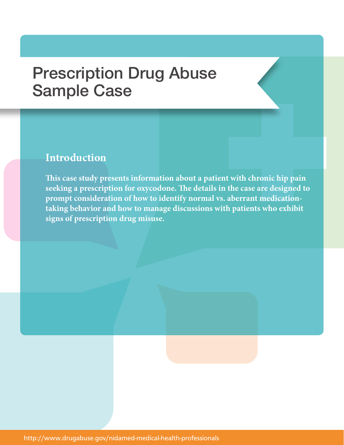# Prescription Drug Abuse Sample Case

## **Introduction**

**This case study presents information about a patient with chronic hip pain seeking a prescription for oxycodone. The details in the case are designed to prompt consideration of how to identify normal vs. aberrant medicationtaking behavior and how to manage discussions with patients who exhibit signs of prescription drug misuse.**

http://www.drugabuse.gov/nidamed-medical-health-professionals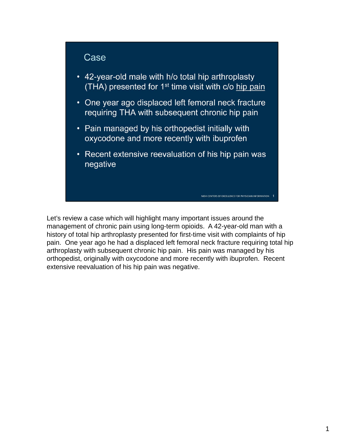#### Case

- 42-year-old male with h/o total hip arthroplasty (THA) presented for 1<sup>st</sup> time visit with c/o hip pain
- One year ago displaced left femoral neck fracture requiring THA with subsequent chronic hip pain
- Pain managed by his orthopedist initially with oxycodone and more recently with ibuprofen
- Recent extensive reevaluation of his hip pain was negative

NIDA CENTERS OF EXCELLENCE FOR PHYSICIAN INFORMATION

Let's review a case which will highlight many important issues around the management of chronic pain using long-term opioids. A 42-year-old man with a history of total hip arthroplasty presented for first-time visit with complaints of hip pain. One year ago he had a displaced left femoral neck fracture requiring total hip arthroplasty with subsequent chronic hip pain. His pain was managed by his orthopedist, originally with oxycodone and more recently with ibuprofen. Recent extensive reevaluation of his hip pain was negative.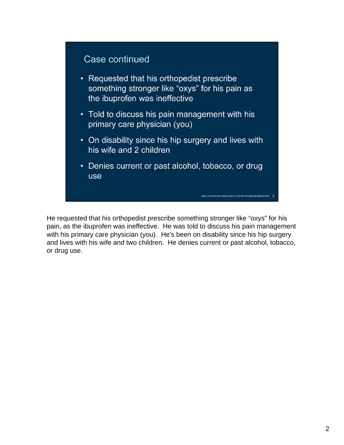## Case continued

- Requested that his orthopedist prescribe something stronger like "oxys" for his pain as the ibuprofen was ineffective
- Told to discuss his pain management with his primary care physician (you)
- On disability since his hip surgery and lives with his wife and 2 children
- Denies current or past alcohol, tobacco, or drug use

NIDA CENTERS OF EXCELLENCE FOR PHYSICIAN INFORMATION 2

He requested that his orthopedist prescribe something stronger like "oxys" for his pain, as the ibuprofen was ineffective. He was told to discuss his pain management with his primary care physician (you). He's been on disability since his hip surgery and lives with his wife and two children. He denies current or past alcohol, tobacco, or drug use.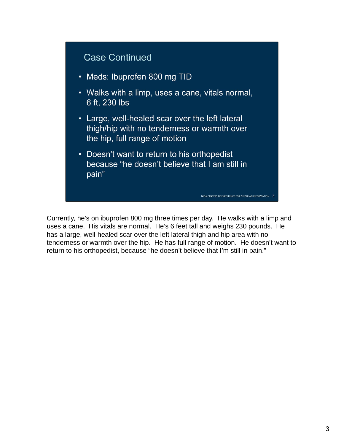

Currently, he's on ibuprofen 800 mg three times per day. He walks with a limp and uses a cane. His vitals are normal. He's 6 feet tall and weighs 230 pounds. He has a large, well-healed scar over the left lateral thigh and hip area with no tenderness or warmth over the hip. He has full range of motion. He doesn't want to return to his orthopedist, because "he doesn't believe that I'm still in pain."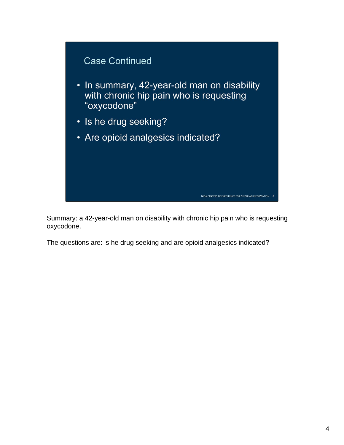

Summary: a 42-year-old man on disability with chronic hip pain who is requesting oxycodone.

The questions are: is he drug seeking and are opioid analgesics indicated?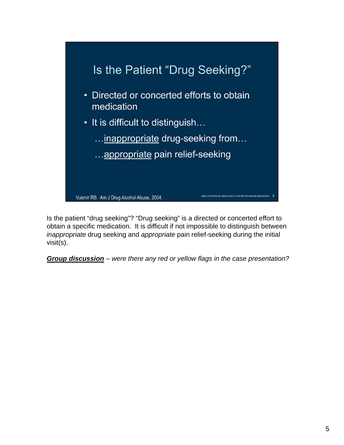

Is the patient "drug seeking"? "Drug seeking" is a directed or concerted effort to obtain a specific medication. It is difficult if not impossible to distinguish between *inappropriate* drug seeking and *appropriate* pain relief-seeking during the initial visit(s).

*Group discussion – were there any red or yellow flags in the case presentation?*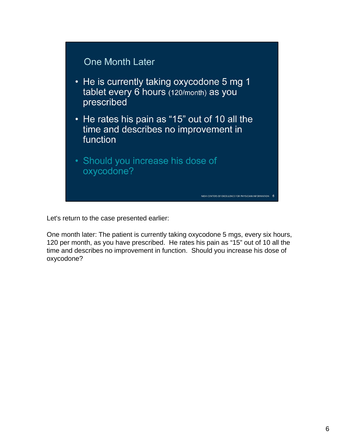

Let's return to the case presented earlier:

One month later: The patient is currently taking oxycodone 5 mgs, every six hours, 120 per month, as you have prescribed. He rates his pain as "15" out of 10 all the time and describes no improvement in function. Should you increase his dose of oxycodone?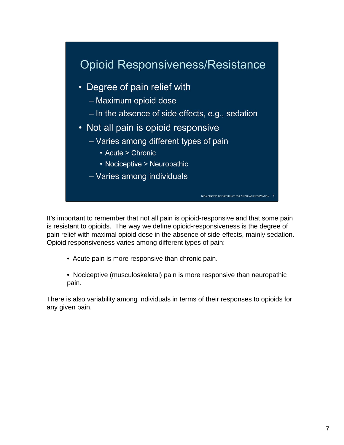

It's important to remember that not all pain is opioid-responsive and that some pain is resistant to opioids. The way we define opioid-responsiveness is the degree of pain relief with maximal opioid dose in the absence of side-effects, mainly sedation. Opioid responsiveness varies among different types of pain:

- Acute pain is more responsive than chronic pain.
- Nociceptive (musculoskeletal) pain is more responsive than neuropathic pain.

There is also variability among individuals in terms of their responses to opioids for any given pain.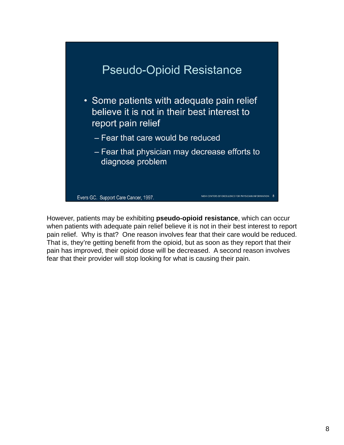

However, patients may be exhibiting **pseudo-opioid resistance**, which can occur when patients with adequate pain relief believe it is not in their best interest to report pain relief. Why is that? One reason involves fear that their care would be reduced. That is, they're getting benefit from the opioid, but as soon as they report that their pain has improved, their opioid dose will be decreased. A second reason involves fear that their provider will stop looking for what is causing their pain.